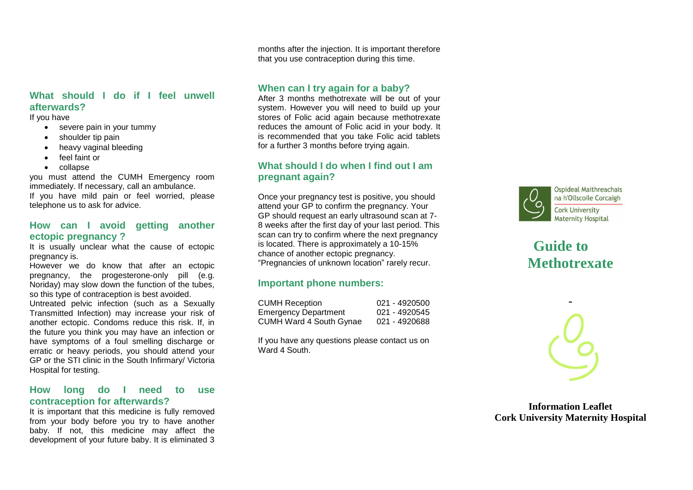## **What should I do if I feel unwell afterwards?**

If you have

- severe pain in your tummy
- shoulder tip pain
- heavy vaginal bleeding
- feel faint or
- collapse

you must attend the CUMH Emergency room immediately. If necessary, call an ambulance. If you have mild pain or feel worried, please telephone us to ask for advice.

#### **How can I avoid getting another ectopic pregnancy ?**

It is usually unclear what the cause of ectopic pregnancy is.

However we do know that after an ectopic pregnancy, the progesterone-only pill (e.g. Noriday) may slow down the function of the tubes, so this type of contraception is best avoided.

Untreated pelvic infection (such as a Sexually Transmitted Infection) may increase your risk of another ectopic. Condoms reduce this risk. If, in the future you think you may have an infection or have symptoms of a foul smelling discharge or erratic or heavy periods, you should attend your GP or the STI clinic in the South Infirmary/ Victoria Hospital for testing.

#### **How long do I need to use contraception for afterwards?**

It is important that this medicine is fully removed from your body before you try to have another baby. If not, this medicine may affect the development of your future baby. It is eliminated 3 months after the injection. It is important therefore that you use contraception during this time.

#### **When can I try again for a baby?**

After 3 months methotrexate will be out of your system. However you will need to build up your stores of Folic acid again because methotrexate reduces the amount of Folic acid in your body. It is recommended that you take Folic acid tablets for a further 3 months before trying again.

#### **What should I do when I find out I am pregnant again?**

Once your pregnancy test is positive, you should attend your GP to confirm the pregnancy. Your GP should request an early ultrasound scan at 7- 8 weeks after the first day of your last period. This scan can try to confirm where the next pregnancy is located. There is approximately a 10-15% chance of another ectopic pregnancy. "Pregnancies of unknown location" rarely recur.

## **Important phone numbers:**

| <b>CUMH Reception</b>       | 021 - 4920500 |
|-----------------------------|---------------|
| <b>Emergency Department</b> | 021 - 4920545 |
| CUMH Ward 4 South Gynae     | 021 - 4920688 |

If you have any questions please contact us on Ward 4 South



Ospideal Maithreachais na h'Ollscoile Corcaigh **Cork University Maternity Hospital** 

# **Guide to Methotrexate**



**Information Leaflet Cork University Maternity Hospital**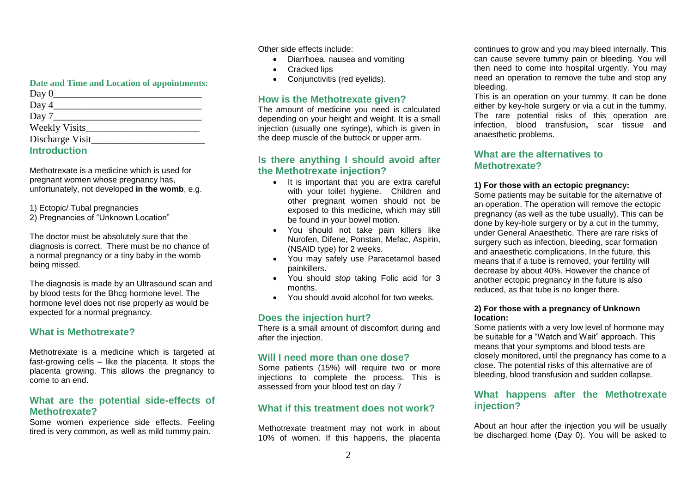#### **Date and Time and Location of appointments:**

| Day $0$              |  |
|----------------------|--|
| Day 4                |  |
| Day $7$              |  |
| <b>Weekly Visits</b> |  |
| Discharge Visit      |  |
| <b>Introduction</b>  |  |

Methotrexate is a medicine which is used for pregnant women whose pregnancy has, unfortunately, not developed **in the womb**, e.g.

1) Ectopic/ Tubal pregnancies

2) Pregnancies of "Unknown Location"

The doctor must be absolutely sure that the diagnosis is correct. There must be no chance of a normal pregnancy or a tiny baby in the womb being missed.

The diagnosis is made by an Ultrasound scan and by blood tests for the Bhcg hormone level. The hormone level does not rise properly as would be expected for a normal pregnancy.

# **What is Methotrexate?**

Methotrexate is a medicine which is targeted at fast-growing cells – like the placenta. It stops the placenta growing. This allows the pregnancy to come to an end.

## **What are the potential side-effects of Methotrexate?**

Some women experience side effects. Feeling tired is very common, as well as mild tummy pain.

Other side effects include:

- Diarrhoea, nausea and vomiting
- Cracked lips
- Conjunctivitis (red eyelids).

# **How is the Methotrexate given?**

The amount of medicine you need is calculated depending on your height and weight. It is a small injection (usually one syringe), which is given in the deep muscle of the buttock or upper arm.

# **Is there anything I should avoid after the Methotrexate injection?**

- It is important that you are extra careful with your toilet hygiene. Children and other pregnant women should not be exposed to this medicine, which may still be found in your bowel motion.
- You should not take pain killers like Nurofen, Difene, Ponstan, Mefac, Aspirin, (NSAID type) for 2 weeks.
- You may safely use Paracetamol based painkillers.
- You should *stop* taking Folic acid for 3 months.
- You should avoid alcohol for two weeks.

# **Does the injection hurt?**

There is a small amount of discomfort during and after the injection.

# **Will I need more than one dose?**

Some patients (15%) will require two or more injections to complete the process. This is assessed from your blood test on day 7

# **What if this treatment does not work?**

Methotrexate treatment may not work in about 10% of women. If this happens, the placenta continues to grow and you may bleed internally. This can cause severe tummy pain or bleeding. You will then need to come into hospital urgently. You may need an operation to remove the tube and stop any bleeding.

This is an operation on your tummy. It can be done either by key-hole surgery or via a cut in the tummy. The rare potential risks of this operation are infection, blood transfusion**,** scar tissue and anaesthetic problems.

#### **What are the alternatives to Methotrexate?**

#### **1) For those with an ectopic pregnancy:**

Some patients may be suitable for the alternative of an operation. The operation will remove the ectopic pregnancy (as well as the tube usually). This can be done by key-hole surgery or by a cut in the tummy, under General Anaesthetic. There are rare risks of surgery such as infection, bleeding, scar formation and anaesthetic complications. In the future, this means that if a tube is removed, your fertility will decrease by about 40%. However the chance of another ectopic pregnancy in the future is also reduced, as that tube is no longer there.

#### **2) For those with a pregnancy of Unknown location:**

Some patients with a very low level of hormone may be suitable for a "Watch and Wait" approach. This means that your symptoms and blood tests are closely monitored, until the pregnancy has come to a close. The potential risks of this alternative are of bleeding, blood transfusion and sudden collapse.

## **What happens after the Methotrexate injection?**

About an hour after the injection you will be usually be discharged home (Day 0). You will be asked to